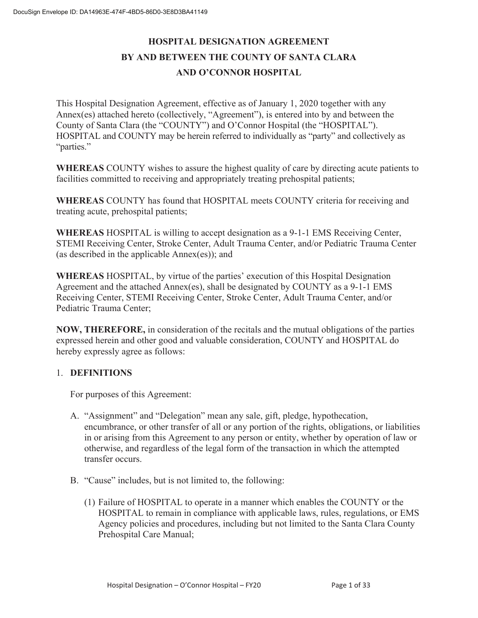# **HOSPITAL DESIGNATION AGREEMENT BY AND BETWEEN THE COUNTY OF SANTA CLARA AND O'CONNOR HOSPITAL**

This Hospital Designation Agreement, effective as of January 1, 2020 together with any Annex(es) attached hereto (collectively, "Agreement"), is entered into by and between the County of Santa Clara (the "COUNTY") and O'Connor Hospital (the "HOSPITAL"). HOSPITAL and COUNTY may be herein referred to individually as "party" and collectively as "parties."

**WHEREAS** COUNTY wishes to assure the highest quality of care by directing acute patients to facilities committed to receiving and appropriately treating prehospital patients;

**WHEREAS** COUNTY has found that HOSPITAL meets COUNTY criteria for receiving and treating acute, prehospital patients;

**WHEREAS** HOSPITAL is willing to accept designation as a 9-1-1 EMS Receiving Center, STEMI Receiving Center, Stroke Center, Adult Trauma Center, and/or Pediatric Trauma Center (as described in the applicable Annex(es)); and

**WHEREAS** HOSPITAL, by virtue of the parties' execution of this Hospital Designation Agreement and the attached Annex(es), shall be designated by COUNTY as a 9-1-1 EMS Receiving Center, STEMI Receiving Center, Stroke Center, Adult Trauma Center, and/or Pediatric Trauma Center;

**NOW, THEREFORE,** in consideration of the recitals and the mutual obligations of the parties expressed herein and other good and valuable consideration, COUNTY and HOSPITAL do hereby expressly agree as follows:

#### 1. **DEFINITIONS**

For purposes of this Agreement:

- A. "Assignment" and "Delegation" mean any sale, gift, pledge, hypothecation, encumbrance, or other transfer of all or any portion of the rights, obligations, or liabilities in or arising from this Agreement to any person or entity, whether by operation of law or otherwise, and regardless of the legal form of the transaction in which the attempted transfer occurs.
- B. "Cause" includes, but is not limited to, the following:
	- (1) Failure of HOSPITAL to operate in a manner which enables the COUNTY or the HOSPITAL to remain in compliance with applicable laws, rules, regulations, or EMS Agency policies and procedures, including but not limited to the Santa Clara County Prehospital Care Manual;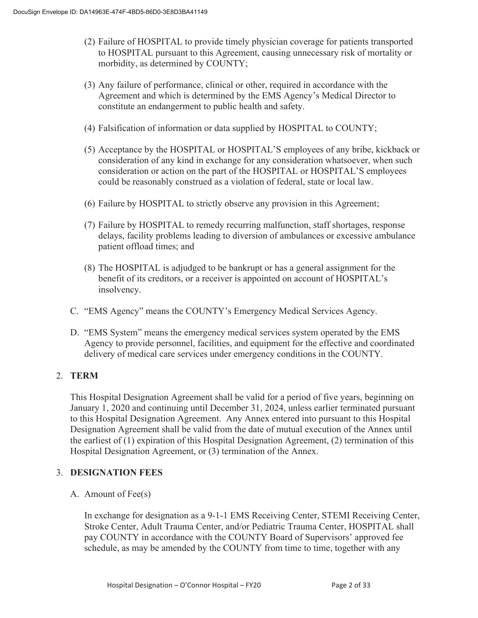- (2) Failure of HOSPITAL to provide timely physician coverage for patients transported to HOSPITAL pursuant to this Agreement, causing unnecessary risk of mortality or morbidity, as determined by COUNTY;
- (3) Any failure of performance, clinical or other, required in accordance with the Agreement and which is determined by the EMS Agency's Medical Director to constitute an endangerment to public health and safety.
- (4) Falsification of information or data supplied by HOSPITAL to COUNTY;
- (5) Acceptance by the HOSPITAL or HOSPITAL'S employees of any bribe, kickback or consideration of any kind in exchange for any consideration whatsoever, when such consideration or action on the part of the HOSPITAL or HOSPITAL'S employees could be reasonably construed as a violation of federal, state or local law.
- (6) Failure by HOSPITAL to strictly observe any provision in this Agreement;
- (7) Failure by HOSPITAL to remedy recurring malfunction, staff shortages, response delays, facility problems leading to diversion of ambulances or excessive ambulance patient offload times; and
- (8) The HOSPITAL is adjudged to be bankrupt or has a general assignment for the benefit of its creditors, or a receiver is appointed on account of HOSPITAL's insolvency.
- C. "EMS Agency" means the COUNTY's Emergency Medical Services Agency.
- D. "EMS System" means the emergency medical services system operated by the EMS Agency to provide personnel, facilities, and equipment for the effective and coordinated delivery of medical care services under emergency conditions in the COUNTY.

#### 2. **TERM**

This Hospital Designation Agreement shall be valid for a period of five years, beginning on January 1, 2020 and continuing until December 31, 2024, unless earlier terminated pursuant to this Hospital Designation Agreement. Any Annex entered into pursuant to this Hospital Designation Agreement shall be valid from the date of mutual execution of the Annex until the earliest of (1) expiration of this Hospital Designation Agreement, (2) termination of this Hospital Designation Agreement, or (3) termination of the Annex.

#### 3. **DESIGNATION FEES**

A. Amount of Fee(s)

In exchange for designation as a 9-1-1 EMS Receiving Center, STEMI Receiving Center, Stroke Center, Adult Trauma Center, and/or Pediatric Trauma Center, HOSPITAL shall pay COUNTY in accordance with the COUNTY Board of Supervisors' approved fee schedule, as may be amended by the COUNTY from time to time, together with any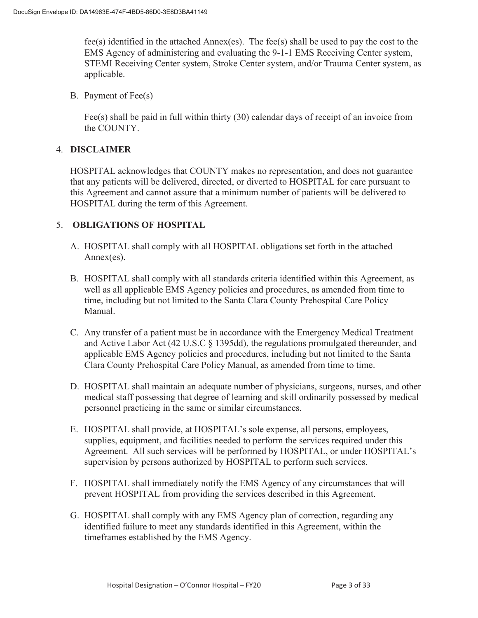fee(s) identified in the attached Annex(es). The fee(s) shall be used to pay the cost to the EMS Agency of administering and evaluating the 9-1-1 EMS Receiving Center system, STEMI Receiving Center system, Stroke Center system, and/or Trauma Center system, as applicable.

B. Payment of Fee(s)

Fee(s) shall be paid in full within thirty (30) calendar days of receipt of an invoice from the COUNTY.

#### 4. **DISCLAIMER**

HOSPITAL acknowledges that COUNTY makes no representation, and does not guarantee that any patients will be delivered, directed, or diverted to HOSPITAL for care pursuant to this Agreement and cannot assure that a minimum number of patients will be delivered to HOSPITAL during the term of this Agreement.

#### 5. **OBLIGATIONS OF HOSPITAL**

- A. HOSPITAL shall comply with all HOSPITAL obligations set forth in the attached Annex(es).
- B. HOSPITAL shall comply with all standards criteria identified within this Agreement, as well as all applicable EMS Agency policies and procedures, as amended from time to time, including but not limited to the Santa Clara County Prehospital Care Policy Manual.
- C. Any transfer of a patient must be in accordance with the Emergency Medical Treatment and Active Labor Act (42 U.S.C § 1395dd), the regulations promulgated thereunder, and applicable EMS Agency policies and procedures, including but not limited to the Santa Clara County Prehospital Care Policy Manual, as amended from time to time.
- D. HOSPITAL shall maintain an adequate number of physicians, surgeons, nurses, and other medical staff possessing that degree of learning and skill ordinarily possessed by medical personnel practicing in the same or similar circumstances.
- E. HOSPITAL shall provide, at HOSPITAL's sole expense, all persons, employees, supplies, equipment, and facilities needed to perform the services required under this Agreement. All such services will be performed by HOSPITAL, or under HOSPITAL's supervision by persons authorized by HOSPITAL to perform such services.
- F. HOSPITAL shall immediately notify the EMS Agency of any circumstances that will prevent HOSPITAL from providing the services described in this Agreement.
- G. HOSPITAL shall comply with any EMS Agency plan of correction, regarding any identified failure to meet any standards identified in this Agreement, within the timeframes established by the EMS Agency.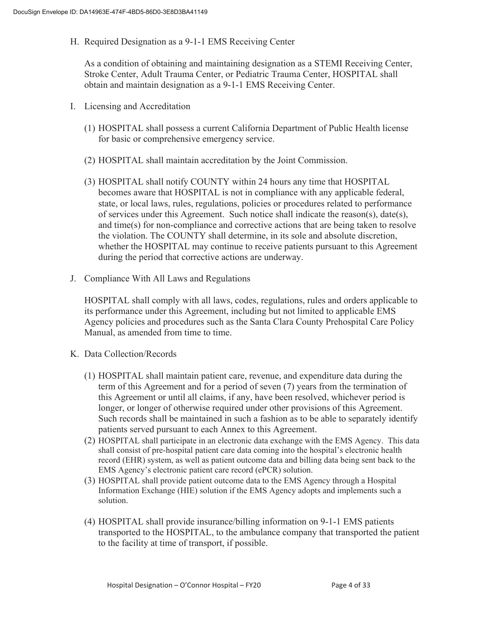H. Required Designation as a 9-1-1 EMS Receiving Center

As a condition of obtaining and maintaining designation as a STEMI Receiving Center, Stroke Center, Adult Trauma Center, or Pediatric Trauma Center, HOSPITAL shall obtain and maintain designation as a 9-1-1 EMS Receiving Center.

- I. Licensing and Accreditation
	- (1) HOSPITAL shall possess a current California Department of Public Health license for basic or comprehensive emergency service.
	- (2) HOSPITAL shall maintain accreditation by the Joint Commission.
	- (3) HOSPITAL shall notify COUNTY within 24 hours any time that HOSPITAL becomes aware that HOSPITAL is not in compliance with any applicable federal, state, or local laws, rules, regulations, policies or procedures related to performance of services under this Agreement. Such notice shall indicate the reason(s), date(s), and time(s) for non-compliance and corrective actions that are being taken to resolve the violation. The COUNTY shall determine, in its sole and absolute discretion, whether the HOSPITAL may continue to receive patients pursuant to this Agreement during the period that corrective actions are underway.
- J. Compliance With All Laws and Regulations

HOSPITAL shall comply with all laws, codes, regulations, rules and orders applicable to its performance under this Agreement, including but not limited to applicable EMS Agency policies and procedures such as the Santa Clara County Prehospital Care Policy Manual, as amended from time to time.

- K. Data Collection/Records
	- (1) HOSPITAL shall maintain patient care, revenue, and expenditure data during the term of this Agreement and for a period of seven (7) years from the termination of this Agreement or until all claims, if any, have been resolved, whichever period is longer, or longer of otherwise required under other provisions of this Agreement. Such records shall be maintained in such a fashion as to be able to separately identify patients served pursuant to each Annex to this Agreement.
	- (2) HOSPITAL shall participate in an electronic data exchange with the EMS Agency. This data shall consist of pre-hospital patient care data coming into the hospital's electronic health record (EHR) system, as well as patient outcome data and billing data being sent back to the EMS Agency's electronic patient care record (ePCR) solution.
	- (3) HOSPITAL shall provide patient outcome data to the EMS Agency through a Hospital Information Exchange (HIE) solution if the EMS Agency adopts and implements such a solution.
	- (4) HOSPITAL shall provide insurance/billing information on 9-1-1 EMS patients transported to the HOSPITAL, to the ambulance company that transported the patient to the facility at time of transport, if possible.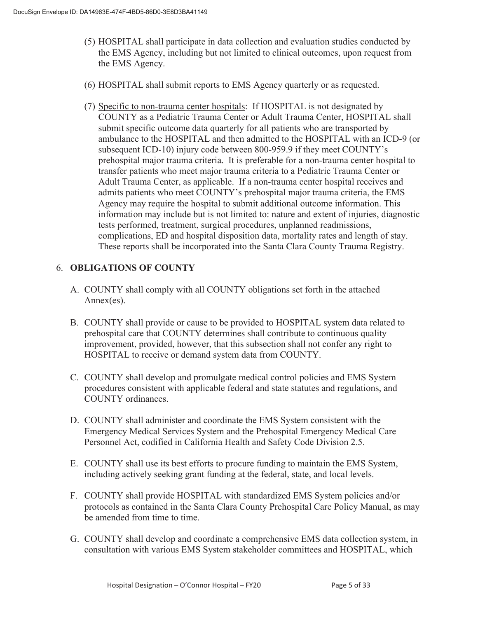- (5) HOSPITAL shall participate in data collection and evaluation studies conducted by the EMS Agency, including but not limited to clinical outcomes, upon request from the EMS Agency.
- (6) HOSPITAL shall submit reports to EMS Agency quarterly or as requested.
- (7) Specific to non-trauma center hospitals: If HOSPITAL is not designated by COUNTY as a Pediatric Trauma Center or Adult Trauma Center, HOSPITAL shall submit specific outcome data quarterly for all patients who are transported by ambulance to the HOSPITAL and then admitted to the HOSPITAL with an ICD-9 (or subsequent ICD-10) injury code between 800-959.9 if they meet COUNTY's prehospital major trauma criteria. It is preferable for a non-trauma center hospital to transfer patients who meet major trauma criteria to a Pediatric Trauma Center or Adult Trauma Center, as applicable. If a non-trauma center hospital receives and admits patients who meet COUNTY's prehospital major trauma criteria, the EMS Agency may require the hospital to submit additional outcome information. This information may include but is not limited to: nature and extent of injuries, diagnostic tests performed, treatment, surgical procedures, unplanned readmissions, complications, ED and hospital disposition data, mortality rates and length of stay. These reports shall be incorporated into the Santa Clara County Trauma Registry.

### 6. **OBLIGATIONS OF COUNTY**

- A. COUNTY shall comply with all COUNTY obligations set forth in the attached Annex(es).
- B. COUNTY shall provide or cause to be provided to HOSPITAL system data related to prehospital care that COUNTY determines shall contribute to continuous quality improvement, provided, however, that this subsection shall not confer any right to HOSPITAL to receive or demand system data from COUNTY.
- C. COUNTY shall develop and promulgate medical control policies and EMS System procedures consistent with applicable federal and state statutes and regulations, and COUNTY ordinances.
- D. COUNTY shall administer and coordinate the EMS System consistent with the Emergency Medical Services System and the Prehospital Emergency Medical Care Personnel Act, codified in California Health and Safety Code Division 2.5.
- E. COUNTY shall use its best efforts to procure funding to maintain the EMS System, including actively seeking grant funding at the federal, state, and local levels.
- F. COUNTY shall provide HOSPITAL with standardized EMS System policies and/or protocols as contained in the Santa Clara County Prehospital Care Policy Manual, as may be amended from time to time.
- G. COUNTY shall develop and coordinate a comprehensive EMS data collection system, in consultation with various EMS System stakeholder committees and HOSPITAL, which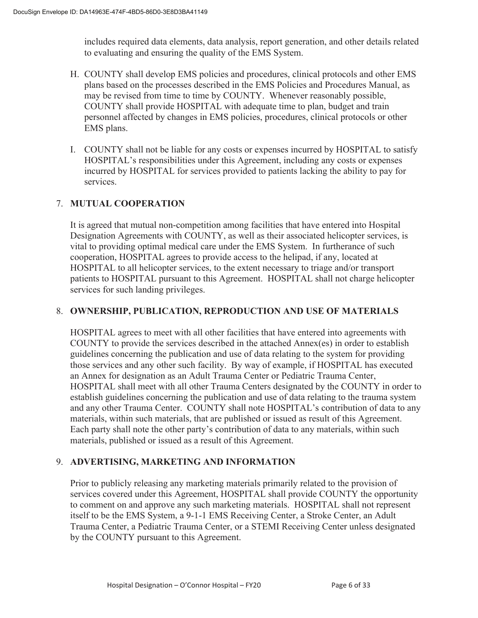includes required data elements, data analysis, report generation, and other details related to evaluating and ensuring the quality of the EMS System.

- H. COUNTY shall develop EMS policies and procedures, clinical protocols and other EMS plans based on the processes described in the EMS Policies and Procedures Manual, as may be revised from time to time by COUNTY. Whenever reasonably possible, COUNTY shall provide HOSPITAL with adequate time to plan, budget and train personnel affected by changes in EMS policies, procedures, clinical protocols or other EMS plans.
- I. COUNTY shall not be liable for any costs or expenses incurred by HOSPITAL to satisfy HOSPITAL's responsibilities under this Agreement, including any costs or expenses incurred by HOSPITAL for services provided to patients lacking the ability to pay for services.

### 7. **MUTUAL COOPERATION**

It is agreed that mutual non-competition among facilities that have entered into Hospital Designation Agreements with COUNTY, as well as their associated helicopter services, is vital to providing optimal medical care under the EMS System. In furtherance of such cooperation, HOSPITAL agrees to provide access to the helipad, if any, located at HOSPITAL to all helicopter services, to the extent necessary to triage and/or transport patients to HOSPITAL pursuant to this Agreement. HOSPITAL shall not charge helicopter services for such landing privileges.

#### 8. **OWNERSHIP, PUBLICATION, REPRODUCTION AND USE OF MATERIALS**

HOSPITAL agrees to meet with all other facilities that have entered into agreements with COUNTY to provide the services described in the attached Annex(es) in order to establish guidelines concerning the publication and use of data relating to the system for providing those services and any other such facility. By way of example, if HOSPITAL has executed an Annex for designation as an Adult Trauma Center or Pediatric Trauma Center, HOSPITAL shall meet with all other Trauma Centers designated by the COUNTY in order to establish guidelines concerning the publication and use of data relating to the trauma system and any other Trauma Center. COUNTY shall note HOSPITAL's contribution of data to any materials, within such materials, that are published or issued as result of this Agreement. Each party shall note the other party's contribution of data to any materials, within such materials, published or issued as a result of this Agreement.

#### 9. **ADVERTISING, MARKETING AND INFORMATION**

Prior to publicly releasing any marketing materials primarily related to the provision of services covered under this Agreement, HOSPITAL shall provide COUNTY the opportunity to comment on and approve any such marketing materials. HOSPITAL shall not represent itself to be the EMS System, a 9-1-1 EMS Receiving Center, a Stroke Center, an Adult Trauma Center, a Pediatric Trauma Center, or a STEMI Receiving Center unless designated by the COUNTY pursuant to this Agreement.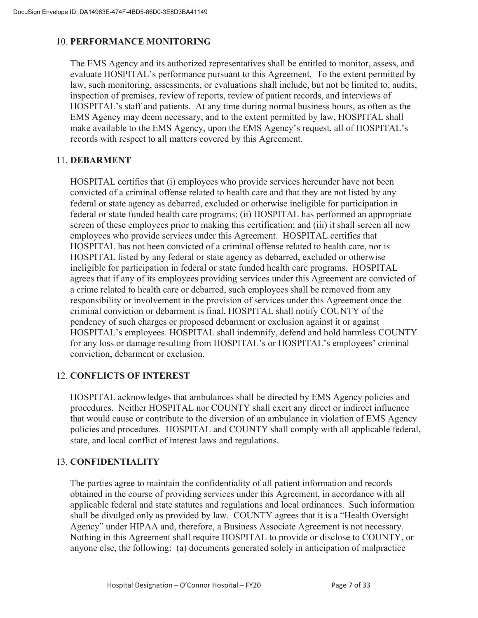#### 10. **PERFORMANCE MONITORING**

The EMS Agency and its authorized representatives shall be entitled to monitor, assess, and evaluate HOSPITAL's performance pursuant to this Agreement. To the extent permitted by law, such monitoring, assessments, or evaluations shall include, but not be limited to, audits, inspection of premises, review of reports, review of patient records, and interviews of HOSPITAL's staff and patients. At any time during normal business hours, as often as the EMS Agency may deem necessary, and to the extent permitted by law, HOSPITAL shall make available to the EMS Agency, upon the EMS Agency's request, all of HOSPITAL's records with respect to all matters covered by this Agreement.

#### 11. **DEBARMENT**

HOSPITAL certifies that (i) employees who provide services hereunder have not been convicted of a criminal offense related to health care and that they are not listed by any federal or state agency as debarred, excluded or otherwise ineligible for participation in federal or state funded health care programs; (ii) HOSPITAL has performed an appropriate screen of these employees prior to making this certification; and (iii) it shall screen all new employees who provide services under this Agreement. HOSPITAL certifies that HOSPITAL has not been convicted of a criminal offense related to health care, nor is HOSPITAL listed by any federal or state agency as debarred, excluded or otherwise ineligible for participation in federal or state funded health care programs. HOSPITAL agrees that if any of its employees providing services under this Agreement are convicted of a crime related to health care or debarred, such employees shall be removed from any responsibility or involvement in the provision of services under this Agreement once the criminal conviction or debarment is final. HOSPITAL shall notify COUNTY of the pendency of such charges or proposed debarment or exclusion against it or against HOSPITAL's employees. HOSPITAL shall indemnify, defend and hold harmless COUNTY for any loss or damage resulting from HOSPITAL's or HOSPITAL's employees' criminal conviction, debarment or exclusion.

#### 12. **CONFLICTS OF INTEREST**

HOSPITAL acknowledges that ambulances shall be directed by EMS Agency policies and procedures. Neither HOSPITAL nor COUNTY shall exert any direct or indirect influence that would cause or contribute to the diversion of an ambulance in violation of EMS Agency policies and procedures. HOSPITAL and COUNTY shall comply with all applicable federal, state, and local conflict of interest laws and regulations.

#### 13. **CONFIDENTIALITY**

The parties agree to maintain the confidentiality of all patient information and records obtained in the course of providing services under this Agreement, in accordance with all applicable federal and state statutes and regulations and local ordinances. Such information shall be divulged only as provided by law. COUNTY agrees that it is a "Health Oversight Agency" under HIPAA and, therefore, a Business Associate Agreement is not necessary. Nothing in this Agreement shall require HOSPITAL to provide or disclose to COUNTY, or anyone else, the following: (a) documents generated solely in anticipation of malpractice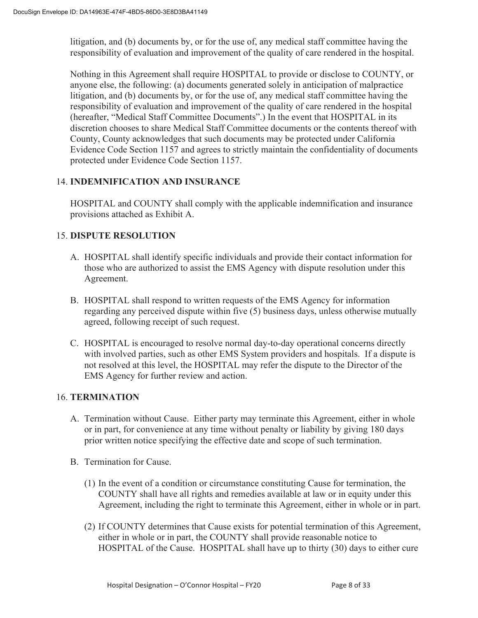litigation, and (b) documents by, or for the use of, any medical staff committee having the responsibility of evaluation and improvement of the quality of care rendered in the hospital.

Nothing in this Agreement shall require HOSPITAL to provide or disclose to COUNTY, or anyone else, the following: (a) documents generated solely in anticipation of malpractice litigation, and (b) documents by, or for the use of, any medical staff committee having the responsibility of evaluation and improvement of the quality of care rendered in the hospital (hereafter, "Medical Staff Committee Documents".) In the event that HOSPITAL in its discretion chooses to share Medical Staff Committee documents or the contents thereof with County, County acknowledges that such documents may be protected under California Evidence Code Section 1157 and agrees to strictly maintain the confidentiality of documents protected under Evidence Code Section 1157.

#### 14. **INDEMNIFICATION AND INSURANCE**

HOSPITAL and COUNTY shall comply with the applicable indemnification and insurance provisions attached as Exhibit A.

#### 15. **DISPUTE RESOLUTION**

- A. HOSPITAL shall identify specific individuals and provide their contact information for those who are authorized to assist the EMS Agency with dispute resolution under this Agreement.
- B. HOSPITAL shall respond to written requests of the EMS Agency for information regarding any perceived dispute within five (5) business days, unless otherwise mutually agreed, following receipt of such request.
- C. HOSPITAL is encouraged to resolve normal day-to-day operational concerns directly with involved parties, such as other EMS System providers and hospitals. If a dispute is not resolved at this level, the HOSPITAL may refer the dispute to the Director of the EMS Agency for further review and action.

#### 16. **TERMINATION**

- A. Termination without Cause. Either party may terminate this Agreement, either in whole or in part, for convenience at any time without penalty or liability by giving 180 days prior written notice specifying the effective date and scope of such termination.
- B. Termination for Cause.
	- (1) In the event of a condition or circumstance constituting Cause for termination, the COUNTY shall have all rights and remedies available at law or in equity under this Agreement, including the right to terminate this Agreement, either in whole or in part.
	- (2) If COUNTY determines that Cause exists for potential termination of this Agreement, either in whole or in part, the COUNTY shall provide reasonable notice to HOSPITAL of the Cause. HOSPITAL shall have up to thirty (30) days to either cure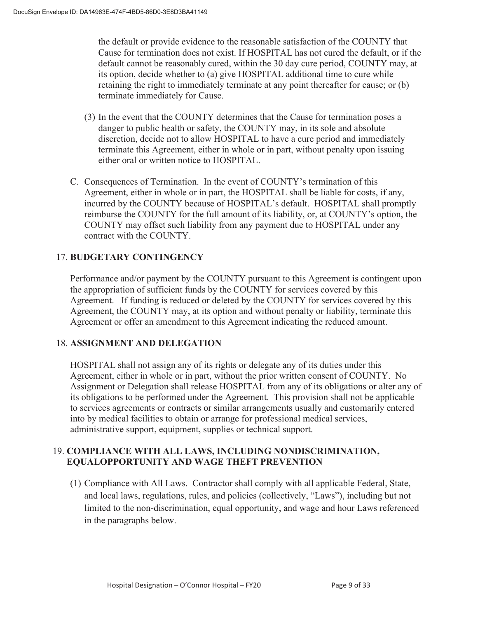the default or provide evidence to the reasonable satisfaction of the COUNTY that Cause for termination does not exist. If HOSPITAL has not cured the default, or if the default cannot be reasonably cured, within the 30 day cure period, COUNTY may, at its option, decide whether to (a) give HOSPITAL additional time to cure while retaining the right to immediately terminate at any point thereafter for cause; or (b) terminate immediately for Cause.

- (3) In the event that the COUNTY determines that the Cause for termination poses a danger to public health or safety, the COUNTY may, in its sole and absolute discretion, decide not to allow HOSPITAL to have a cure period and immediately terminate this Agreement, either in whole or in part, without penalty upon issuing either oral or written notice to HOSPITAL.
- C. Consequences of Termination. In the event of COUNTY's termination of this Agreement, either in whole or in part, the HOSPITAL shall be liable for costs, if any, incurred by the COUNTY because of HOSPITAL's default. HOSPITAL shall promptly reimburse the COUNTY for the full amount of its liability, or, at COUNTY's option, the COUNTY may offset such liability from any payment due to HOSPITAL under any contract with the COUNTY.

### 17. **BUDGETARY CONTINGENCY**

Performance and/or payment by the COUNTY pursuant to this Agreement is contingent upon the appropriation of sufficient funds by the COUNTY for services covered by this Agreement. If funding is reduced or deleted by the COUNTY for services covered by this Agreement, the COUNTY may, at its option and without penalty or liability, terminate this Agreement or offer an amendment to this Agreement indicating the reduced amount.

#### 18. **ASSIGNMENT AND DELEGATION**

HOSPITAL shall not assign any of its rights or delegate any of its duties under this Agreement, either in whole or in part, without the prior written consent of COUNTY. No Assignment or Delegation shall release HOSPITAL from any of its obligations or alter any of its obligations to be performed under the Agreement. This provision shall not be applicable to services agreements or contracts or similar arrangements usually and customarily entered into by medical facilities to obtain or arrange for professional medical services, administrative support, equipment, supplies or technical support.

#### 19. **COMPLIANCE WITH ALL LAWS, INCLUDING NONDISCRIMINATION, EQUALOPPORTUNITY AND WAGE THEFT PREVENTION**

(1) Compliance with All Laws. Contractor shall comply with all applicable Federal, State, and local laws, regulations, rules, and policies (collectively, "Laws"), including but not limited to the non-discrimination, equal opportunity, and wage and hour Laws referenced in the paragraphs below.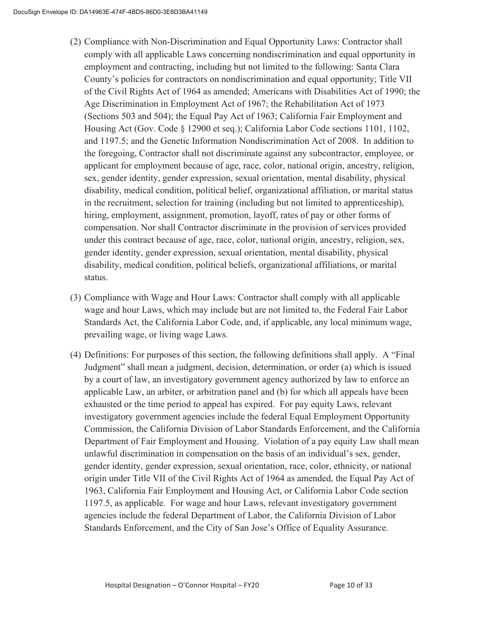- (2) Compliance with Non-Discrimination and Equal Opportunity Laws: Contractor shall comply with all applicable Laws concerning nondiscrimination and equal opportunity in employment and contracting, including but not limited to the following: Santa Clara County's policies for contractors on nondiscrimination and equal opportunity; Title VII of the Civil Rights Act of 1964 as amended; Americans with Disabilities Act of 1990; the Age Discrimination in Employment Act of 1967; the Rehabilitation Act of 1973 (Sections 503 and 504); the Equal Pay Act of 1963; California Fair Employment and Housing Act (Gov. Code § 12900 et seq.); California Labor Code sections 1101, 1102, and 1197.5; and the Genetic Information Nondiscrimination Act of 2008. In addition to the foregoing, Contractor shall not discriminate against any subcontractor, employee, or applicant for employment because of age, race, color, national origin, ancestry, religion, sex, gender identity, gender expression, sexual orientation, mental disability, physical disability, medical condition, political belief, organizational affiliation, or marital status in the recruitment, selection for training (including but not limited to apprenticeship), hiring, employment, assignment, promotion, layoff, rates of pay or other forms of compensation. Nor shall Contractor discriminate in the provision of services provided under this contract because of age, race, color, national origin, ancestry, religion, sex, gender identity, gender expression, sexual orientation, mental disability, physical disability, medical condition, political beliefs, organizational affiliations, or marital status.
- (3) Compliance with Wage and Hour Laws: Contractor shall comply with all applicable wage and hour Laws, which may include but are not limited to, the Federal Fair Labor Standards Act, the California Labor Code, and, if applicable, any local minimum wage, prevailing wage, or living wage Laws.
- (4) Definitions: For purposes of this section, the following definitions shall apply. A "Final Judgment" shall mean a judgment, decision, determination, or order (a) which is issued by a court of law, an investigatory government agency authorized by law to enforce an applicable Law, an arbiter, or arbitration panel and (b) for which all appeals have been exhausted or the time period to appeal has expired. For pay equity Laws, relevant investigatory government agencies include the federal Equal Employment Opportunity Commission, the California Division of Labor Standards Enforcement, and the California Department of Fair Employment and Housing. Violation of a pay equity Law shall mean unlawful discrimination in compensation on the basis of an individual's sex, gender, gender identity, gender expression, sexual orientation, race, color, ethnicity, or national origin under Title VII of the Civil Rights Act of 1964 as amended, the Equal Pay Act of 1963, California Fair Employment and Housing Act, or California Labor Code section 1197.5, as applicable. For wage and hour Laws, relevant investigatory government agencies include the federal Department of Labor, the California Division of Labor Standards Enforcement, and the City of San Jose's Office of Equality Assurance.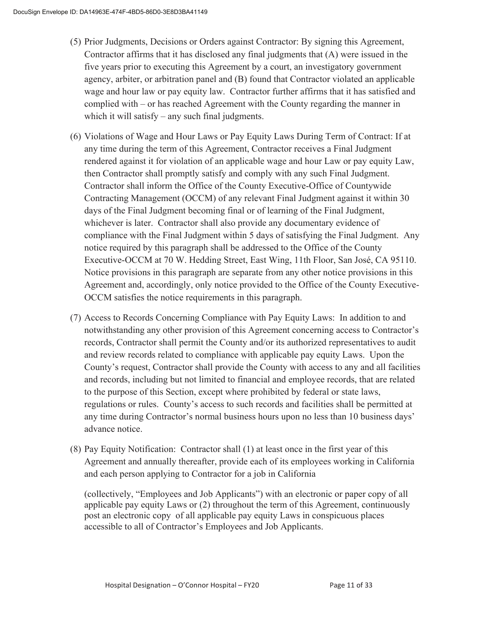- (5) Prior Judgments, Decisions or Orders against Contractor: By signing this Agreement, Contractor affirms that it has disclosed any final judgments that (A) were issued in the five years prior to executing this Agreement by a court, an investigatory government agency, arbiter, or arbitration panel and (B) found that Contractor violated an applicable wage and hour law or pay equity law. Contractor further affirms that it has satisfied and complied with – or has reached Agreement with the County regarding the manner in which it will satisfy – any such final judgments.
- (6) Violations of Wage and Hour Laws or Pay Equity Laws During Term of Contract: If at any time during the term of this Agreement, Contractor receives a Final Judgment rendered against it for violation of an applicable wage and hour Law or pay equity Law, then Contractor shall promptly satisfy and comply with any such Final Judgment. Contractor shall inform the Office of the County Executive-Office of Countywide Contracting Management (OCCM) of any relevant Final Judgment against it within 30 days of the Final Judgment becoming final or of learning of the Final Judgment, whichever is later. Contractor shall also provide any documentary evidence of compliance with the Final Judgment within 5 days of satisfying the Final Judgment. Any notice required by this paragraph shall be addressed to the Office of the County Executive-OCCM at 70 W. Hedding Street, East Wing, 11th Floor, San José, CA 95110. Notice provisions in this paragraph are separate from any other notice provisions in this Agreement and, accordingly, only notice provided to the Office of the County Executive-OCCM satisfies the notice requirements in this paragraph.
- (7) Access to Records Concerning Compliance with Pay Equity Laws: In addition to and notwithstanding any other provision of this Agreement concerning access to Contractor's records, Contractor shall permit the County and/or its authorized representatives to audit and review records related to compliance with applicable pay equity Laws. Upon the County's request, Contractor shall provide the County with access to any and all facilities and records, including but not limited to financial and employee records, that are related to the purpose of this Section, except where prohibited by federal or state laws, regulations or rules. County's access to such records and facilities shall be permitted at any time during Contractor's normal business hours upon no less than 10 business days' advance notice.
- (8) Pay Equity Notification: Contractor shall (1) at least once in the first year of this Agreement and annually thereafter, provide each of its employees working in California and each person applying to Contractor for a job in California

(collectively, "Employees and Job Applicants") with an electronic or paper copy of all applicable pay equity Laws or (2) throughout the term of this Agreement, continuously post an electronic copy of all applicable pay equity Laws in conspicuous places accessible to all of Contractor's Employees and Job Applicants.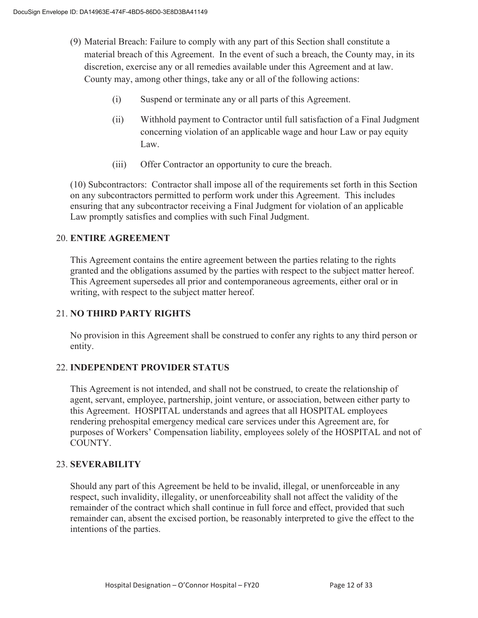- (9) Material Breach: Failure to comply with any part of this Section shall constitute a material breach of this Agreement. In the event of such a breach, the County may, in its discretion, exercise any or all remedies available under this Agreement and at law. County may, among other things, take any or all of the following actions:
	- (i) Suspend or terminate any or all parts of this Agreement.
	- (ii) Withhold payment to Contractor until full satisfaction of a Final Judgment concerning violation of an applicable wage and hour Law or pay equity Law.
	- (iii) Offer Contractor an opportunity to cure the breach.

(10) Subcontractors: Contractor shall impose all of the requirements set forth in this Section on any subcontractors permitted to perform work under this Agreement. This includes ensuring that any subcontractor receiving a Final Judgment for violation of an applicable Law promptly satisfies and complies with such Final Judgment.

#### 20. **ENTIRE AGREEMENT**

 This Agreement contains the entire agreement between the parties relating to the rights granted and the obligations assumed by the parties with respect to the subject matter hereof. This Agreement supersedes all prior and contemporaneous agreements, either oral or in writing, with respect to the subject matter hereof.

#### 21. **NO THIRD PARTY RIGHTS**

No provision in this Agreement shall be construed to confer any rights to any third person or entity.

#### 22. **INDEPENDENT PROVIDER STATUS**

This Agreement is not intended, and shall not be construed, to create the relationship of agent, servant, employee, partnership, joint venture, or association, between either party to this Agreement. HOSPITAL understands and agrees that all HOSPITAL employees rendering prehospital emergency medical care services under this Agreement are, for purposes of Workers' Compensation liability, employees solely of the HOSPITAL and not of COUNTY.

#### 23. **SEVERABILITY**

Should any part of this Agreement be held to be invalid, illegal, or unenforceable in any respect, such invalidity, illegality, or unenforceability shall not affect the validity of the remainder of the contract which shall continue in full force and effect, provided that such remainder can, absent the excised portion, be reasonably interpreted to give the effect to the intentions of the parties.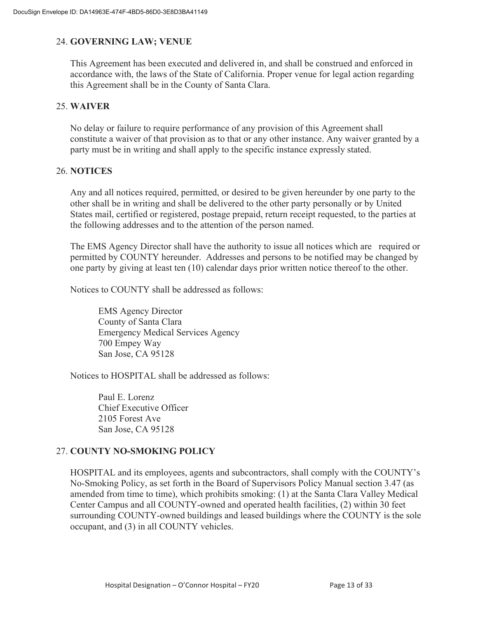#### 24. **GOVERNING LAW; VENUE**

This Agreement has been executed and delivered in, and shall be construed and enforced in accordance with, the laws of the State of California. Proper venue for legal action regarding this Agreement shall be in the County of Santa Clara.

#### 25. **WAIVER**

No delay or failure to require performance of any provision of this Agreement shall constitute a waiver of that provision as to that or any other instance. Any waiver granted by a party must be in writing and shall apply to the specific instance expressly stated.

#### 26. **NOTICES**

Any and all notices required, permitted, or desired to be given hereunder by one party to the other shall be in writing and shall be delivered to the other party personally or by United States mail, certified or registered, postage prepaid, return receipt requested, to the parties at the following addresses and to the attention of the person named.

The EMS Agency Director shall have the authority to issue all notices which are required or permitted by COUNTY hereunder. Addresses and persons to be notified may be changed by one party by giving at least ten (10) calendar days prior written notice thereof to the other.

Notices to COUNTY shall be addressed as follows:

EMS Agency Director County of Santa Clara Emergency Medical Services Agency 700 Empey Way San Jose, CA 95128

Notices to HOSPITAL shall be addressed as follows:

Paul E. Lorenz Chief Executive Officer 2105 Forest Ave San Jose, CA 95128

#### 27. **COUNTY NO-SMOKING POLICY**

HOSPITAL and its employees, agents and subcontractors, shall comply with the COUNTY's No-Smoking Policy, as set forth in the Board of Supervisors Policy Manual section 3.47 (as amended from time to time), which prohibits smoking: (1) at the Santa Clara Valley Medical Center Campus and all COUNTY-owned and operated health facilities, (2) within 30 feet surrounding COUNTY-owned buildings and leased buildings where the COUNTY is the sole occupant, and (3) in all COUNTY vehicles.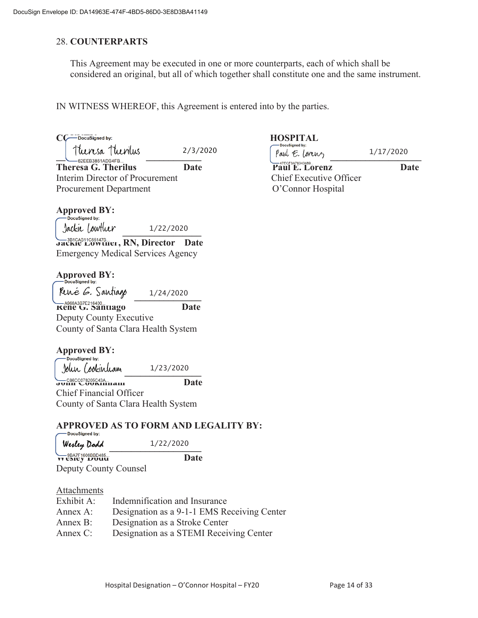#### 28. **COUNTERPARTS**

This Agreement may be executed in one or more counterparts, each of which shall be considered an original, but all of which together shall constitute one and the same instrument.

IN WITNESS WHEREOF, this Agreement is entered into by the parties.

2/3/2020

**Theresa G. Therilus Date Date** Paul E. Lorenz Date **Date** Interim Director of Procurement Chief Executive Officer Procurement Department **O'Connor Hospital** 

# **Approved BY:**<br> **CD** DocuSigned by:

 $Jack!$   $Jolkl$   $Jolkl$   $Jolkl$   $Jolkl$ 1/22/2020

**Jackie Lowther, RN, Director Date** Emergency Medical Services Agency

## **Approved BY:**<br>
<u>—</u>DocuSigned by:

René *G.* Santiago **REDES ASSESS TO A REDES CONTROLLER CONTROL**<br> **Rene G. Santiago** Date 1/24/2020

Deputy County Executive County of Santa Clara Health System

# **Approved BY:**<br>  $\sum_{\text{Docusigned by:}}$

 John Cookinham **John Cookinham Date** 1/23/2020

Chief Financial Officer County of Santa Clara Health System

#### **APPROVED AS TO FORM AND LEGALITY BY:**

| <b>DOUGOINING MY.</b><br>Wesley Dodd                  | 1/22/2020 |  |
|-------------------------------------------------------|-----------|--|
| $Q = 9BAYF1608BBD485$<br><b><i>VV CSICY DOUGH</i></b> | Date      |  |

Deputy County Counsel

Attachments

| Exhibit A:  | Indemnification and Insurance               |
|-------------|---------------------------------------------|
| Annex A:    | Designation as a 9-1-1 EMS Receiving Center |
| Annex B:    | Designation as a Stroke Center              |
| Annex $C$ : | Designation as a STEMI Receiving Center     |

## CC<sup>-DocuSigned by:<br> **COUNTY HOSPITAL**</sup>

 $\left[ \text{rank } C, \text{rank } C \right]$ 1/17/2020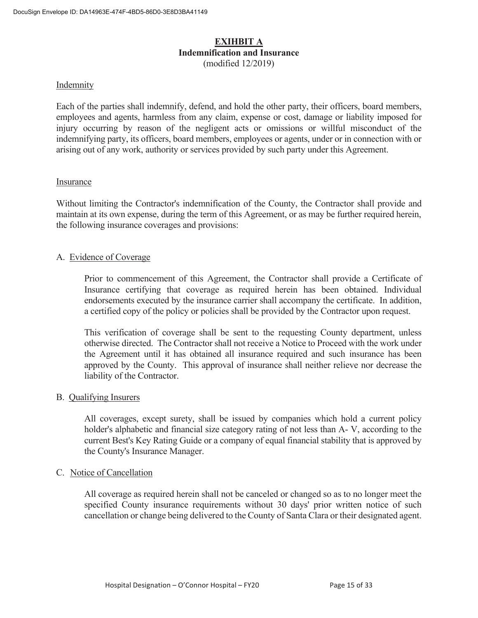#### **EXIHBIT A Indemnification and Insurance**  (modified 12/2019)

#### Indemnity

Each of the parties shall indemnify, defend, and hold the other party, their officers, board members, employees and agents, harmless from any claim, expense or cost, damage or liability imposed for injury occurring by reason of the negligent acts or omissions or willful misconduct of the indemnifying party, its officers, board members, employees or agents, under or in connection with or arising out of any work, authority or services provided by such party under this Agreement.

#### Insurance

Without limiting the Contractor's indemnification of the County, the Contractor shall provide and maintain at its own expense, during the term of this Agreement, or as may be further required herein, the following insurance coverages and provisions:

#### A. Evidence of Coverage

 Prior to commencement of this Agreement, the Contractor shall provide a Certificate of Insurance certifying that coverage as required herein has been obtained. Individual endorsements executed by the insurance carrier shall accompany the certificate. In addition, a certified copy of the policy or policies shall be provided by the Contractor upon request.

 This verification of coverage shall be sent to the requesting County department, unless otherwise directed. The Contractor shall not receive a Notice to Proceed with the work under the Agreement until it has obtained all insurance required and such insurance has been approved by the County. This approval of insurance shall neither relieve nor decrease the liability of the Contractor.

#### B. Qualifying Insurers

 All coverages, except surety, shall be issued by companies which hold a current policy holder's alphabetic and financial size category rating of not less than A- V, according to the current Best's Key Rating Guide or a company of equal financial stability that is approved by the County's Insurance Manager.

#### C. Notice of Cancellation

All coverage as required herein shall not be canceled or changed so as to no longer meet the specified County insurance requirements without 30 days' prior written notice of such cancellation or change being delivered to the County of Santa Clara or their designated agent.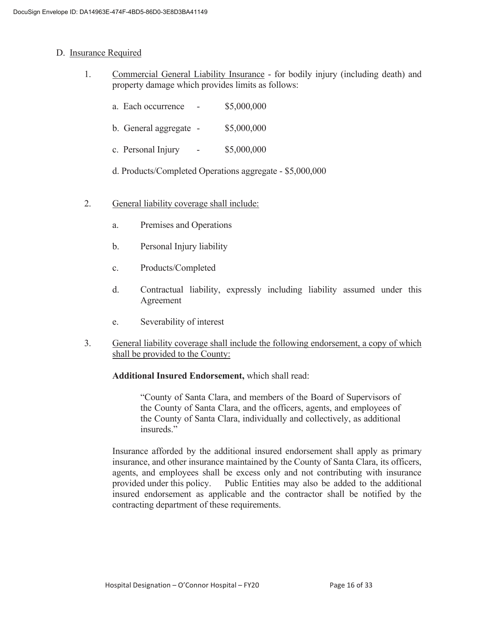#### D. Insurance Required

- 1. Commercial General Liability Insurance for bodily injury (including death) and property damage which provides limits as follows:
	- a. Each occurrence \$5,000,000
	- b. General aggregate \$5,000,000
	- c. Personal Injury \$5,000,000
	- d. Products/Completed Operations aggregate \$5,000,000
- 2. General liability coverage shall include:
	- a. Premises and Operations
	- b. Personal Injury liability
	- c. Products/Completed
	- d. Contractual liability, expressly including liability assumed under this Agreement
	- e. Severability of interest
- 3. General liability coverage shall include the following endorsement, a copy of which shall be provided to the County:

#### **Additional Insured Endorsement,** which shall read:

 "County of Santa Clara, and members of the Board of Supervisors of the County of Santa Clara, and the officers, agents, and employees of the County of Santa Clara, individually and collectively, as additional insureds."

 Insurance afforded by the additional insured endorsement shall apply as primary insurance, and other insurance maintained by the County of Santa Clara, its officers, agents, and employees shall be excess only and not contributing with insurance provided under this policy. Public Entities may also be added to the additional insured endorsement as applicable and the contractor shall be notified by the contracting department of these requirements.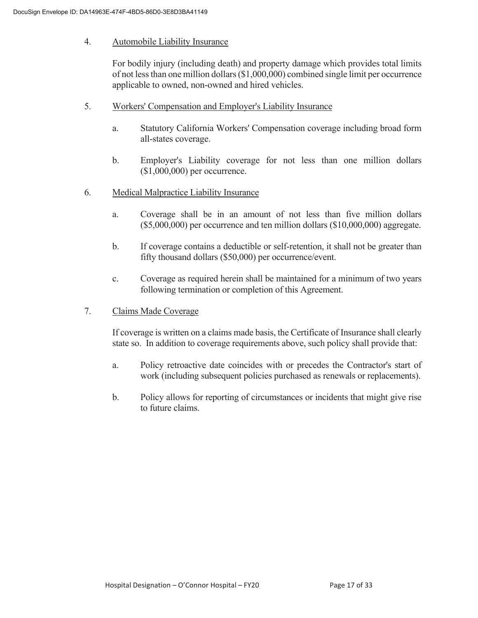#### 4. Automobile Liability Insurance

 For bodily injury (including death) and property damage which provides total limits of not less than one million dollars (\$1,000,000) combined single limit per occurrence applicable to owned, non-owned and hired vehicles.

- 5. Workers' Compensation and Employer's Liability Insurance
	- a. Statutory California Workers' Compensation coverage including broad form all-states coverage.
	- b. Employer's Liability coverage for not less than one million dollars (\$1,000,000) per occurrence.
- 6. Medical Malpractice Liability Insurance
	- a. Coverage shall be in an amount of not less than five million dollars (\$5,000,000) per occurrence and ten million dollars (\$10,000,000) aggregate.
	- b. If coverage contains a deductible or self-retention, it shall not be greater than fifty thousand dollars (\$50,000) per occurrence/event.
	- c. Coverage as required herein shall be maintained for a minimum of two years following termination or completion of this Agreement.
- 7. Claims Made Coverage

 If coverage is written on a claims made basis, the Certificate of Insurance shall clearly state so. In addition to coverage requirements above, such policy shall provide that:

- a. Policy retroactive date coincides with or precedes the Contractor's start of work (including subsequent policies purchased as renewals or replacements).
- b. Policy allows for reporting of circumstances or incidents that might give rise to future claims.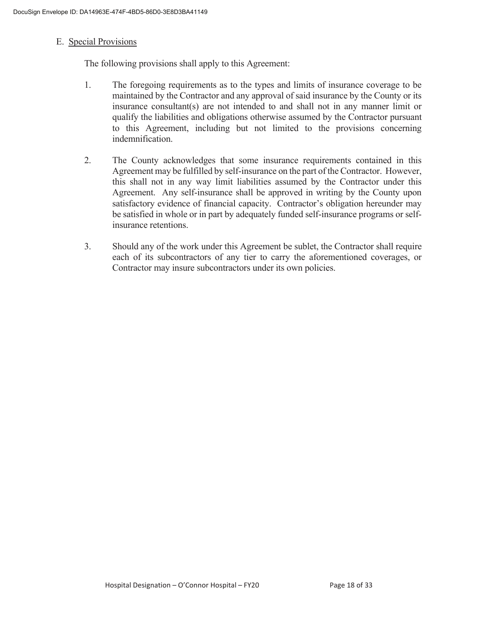#### E. Special Provisions

The following provisions shall apply to this Agreement:

- 1. The foregoing requirements as to the types and limits of insurance coverage to be maintained by the Contractor and any approval of said insurance by the County or its insurance consultant(s) are not intended to and shall not in any manner limit or qualify the liabilities and obligations otherwise assumed by the Contractor pursuant to this Agreement, including but not limited to the provisions concerning indemnification.
- 2. The County acknowledges that some insurance requirements contained in this Agreement may be fulfilled by self-insurance on the part of the Contractor. However, this shall not in any way limit liabilities assumed by the Contractor under this Agreement. Any self-insurance shall be approved in writing by the County upon satisfactory evidence of financial capacity. Contractor's obligation hereunder may be satisfied in whole or in part by adequately funded self-insurance programs or selfinsurance retentions.
- 3. Should any of the work under this Agreement be sublet, the Contractor shall require each of its subcontractors of any tier to carry the aforementioned coverages, or Contractor may insure subcontractors under its own policies.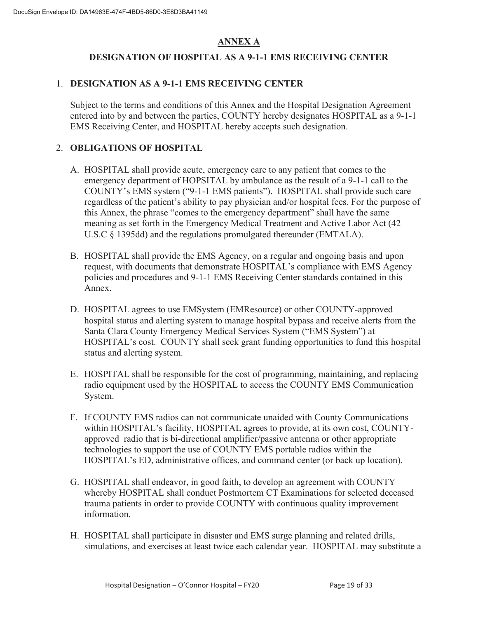### **ANNEX A**

### **DESIGNATION OF HOSPITAL AS A 9-1-1 EMS RECEIVING CENTER**

#### 1. **DESIGNATION AS A 9-1-1 EMS RECEIVING CENTER**

Subject to the terms and conditions of this Annex and the Hospital Designation Agreement entered into by and between the parties, COUNTY hereby designates HOSPITAL as a 9-1-1 EMS Receiving Center, and HOSPITAL hereby accepts such designation.

#### 2. **OBLIGATIONS OF HOSPITAL**

- A. HOSPITAL shall provide acute, emergency care to any patient that comes to the emergency department of HOPSITAL by ambulance as the result of a 9-1-1 call to the COUNTY's EMS system ("9-1-1 EMS patients"). HOSPITAL shall provide such care regardless of the patient's ability to pay physician and/or hospital fees. For the purpose of this Annex, the phrase "comes to the emergency department" shall have the same meaning as set forth in the Emergency Medical Treatment and Active Labor Act (42 U.S.C § 1395dd) and the regulations promulgated thereunder (EMTALA).
- B. HOSPITAL shall provide the EMS Agency, on a regular and ongoing basis and upon request, with documents that demonstrate HOSPITAL's compliance with EMS Agency policies and procedures and 9-1-1 EMS Receiving Center standards contained in this Annex.
- D. HOSPITAL agrees to use EMSystem (EMResource) or other COUNTY-approved hospital status and alerting system to manage hospital bypass and receive alerts from the Santa Clara County Emergency Medical Services System ("EMS System") at HOSPITAL's cost. COUNTY shall seek grant funding opportunities to fund this hospital status and alerting system.
- E. HOSPITAL shall be responsible for the cost of programming, maintaining, and replacing radio equipment used by the HOSPITAL to access the COUNTY EMS Communication System.
- F. If COUNTY EMS radios can not communicate unaided with County Communications within HOSPITAL's facility, HOSPITAL agrees to provide, at its own cost, COUNTYapproved radio that is bi-directional amplifier/passive antenna or other appropriate technologies to support the use of COUNTY EMS portable radios within the HOSPITAL's ED, administrative offices, and command center (or back up location).
- G. HOSPITAL shall endeavor, in good faith, to develop an agreement with COUNTY whereby HOSPITAL shall conduct Postmortem CT Examinations for selected deceased trauma patients in order to provide COUNTY with continuous quality improvement information.
- H. HOSPITAL shall participate in disaster and EMS surge planning and related drills, simulations, and exercises at least twice each calendar year. HOSPITAL may substitute a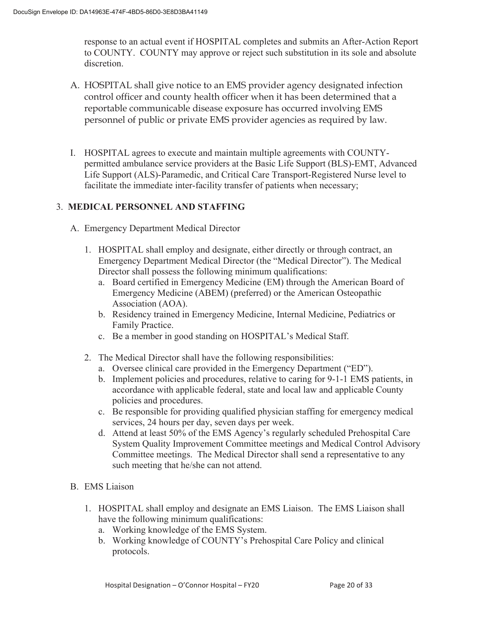response to an actual event if HOSPITAL completes and submits an After-Action Report to COUNTY. COUNTY may approve or reject such substitution in its sole and absolute discretion.

- A. HOSPITAL shall give notice to an EMS provider agency designated infection control officer and county health officer when it has been determined that a reportable communicable disease exposure has occurred involving EMS personnel of public or private EMS provider agencies as required by law.
- I. HOSPITAL agrees to execute and maintain multiple agreements with COUNTYpermitted ambulance service providers at the Basic Life Support (BLS)-EMT, Advanced Life Support (ALS)-Paramedic, and Critical Care Transport-Registered Nurse level to facilitate the immediate inter-facility transfer of patients when necessary;

#### 3. **MEDICAL PERSONNEL AND STAFFING**

- A. Emergency Department Medical Director
	- 1. HOSPITAL shall employ and designate, either directly or through contract, an Emergency Department Medical Director (the "Medical Director"). The Medical Director shall possess the following minimum qualifications:
		- a. Board certified in Emergency Medicine (EM) through the American Board of Emergency Medicine (ABEM) (preferred) or the American Osteopathic Association (AOA).
		- b. Residency trained in Emergency Medicine, Internal Medicine, Pediatrics or Family Practice.
		- c. Be a member in good standing on HOSPITAL's Medical Staff.
	- 2. The Medical Director shall have the following responsibilities:
		- a. Oversee clinical care provided in the Emergency Department ("ED").
		- b. Implement policies and procedures, relative to caring for 9-1-1 EMS patients, in accordance with applicable federal, state and local law and applicable County policies and procedures.
		- c. Be responsible for providing qualified physician staffing for emergency medical services, 24 hours per day, seven days per week.
		- d. Attend at least 50% of the EMS Agency's regularly scheduled Prehospital Care System Quality Improvement Committee meetings and Medical Control Advisory Committee meetings. The Medical Director shall send a representative to any such meeting that he/she can not attend.
- B. EMS Liaison
	- 1. HOSPITAL shall employ and designate an EMS Liaison. The EMS Liaison shall have the following minimum qualifications:
		- a. Working knowledge of the EMS System.
		- b. Working knowledge of COUNTY's Prehospital Care Policy and clinical protocols.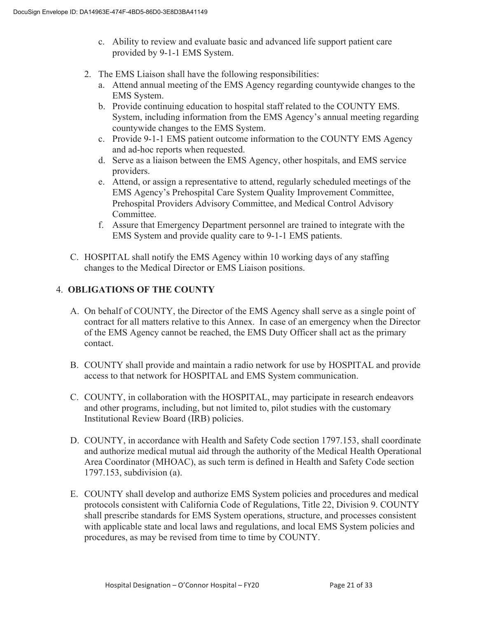- c. Ability to review and evaluate basic and advanced life support patient care provided by 9-1-1 EMS System.
- 2. The EMS Liaison shall have the following responsibilities:
	- a. Attend annual meeting of the EMS Agency regarding countywide changes to the EMS System.
	- b. Provide continuing education to hospital staff related to the COUNTY EMS. System, including information from the EMS Agency's annual meeting regarding countywide changes to the EMS System.
	- c. Provide 9-1-1 EMS patient outcome information to the COUNTY EMS Agency and ad-hoc reports when requested.
	- d. Serve as a liaison between the EMS Agency, other hospitals, and EMS service providers.
	- e. Attend, or assign a representative to attend, regularly scheduled meetings of the EMS Agency's Prehospital Care System Quality Improvement Committee, Prehospital Providers Advisory Committee, and Medical Control Advisory Committee.
	- f. Assure that Emergency Department personnel are trained to integrate with the EMS System and provide quality care to 9-1-1 EMS patients.
- C. HOSPITAL shall notify the EMS Agency within 10 working days of any staffing changes to the Medical Director or EMS Liaison positions.

### 4. **OBLIGATIONS OF THE COUNTY**

- A. On behalf of COUNTY, the Director of the EMS Agency shall serve as a single point of contract for all matters relative to this Annex. In case of an emergency when the Director of the EMS Agency cannot be reached, the EMS Duty Officer shall act as the primary contact.
- B. COUNTY shall provide and maintain a radio network for use by HOSPITAL and provide access to that network for HOSPITAL and EMS System communication.
- C. COUNTY, in collaboration with the HOSPITAL, may participate in research endeavors and other programs, including, but not limited to, pilot studies with the customary Institutional Review Board (IRB) policies.
- D. COUNTY, in accordance with Health and Safety Code section 1797.153, shall coordinate and authorize medical mutual aid through the authority of the Medical Health Operational Area Coordinator (MHOAC), as such term is defined in Health and Safety Code section 1797.153, subdivision (a).
- E. COUNTY shall develop and authorize EMS System policies and procedures and medical protocols consistent with California Code of Regulations, Title 22, Division 9. COUNTY shall prescribe standards for EMS System operations, structure, and processes consistent with applicable state and local laws and regulations, and local EMS System policies and procedures, as may be revised from time to time by COUNTY.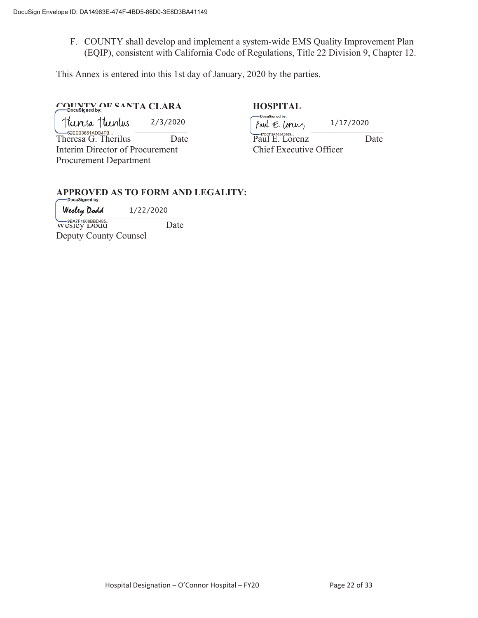F. COUNTY shall develop and implement a system-wide EMS Quality Improvement Plan (EQIP), consistent with California Code of Regulations, Title 22 Division 9, Chapter 12.

This Annex is entered into this 1st day of January, 2020 by the parties.

# **COUNTY OF SANTA CLARA HOSPITAL**<br>
HOSPITAL
<br>
Hocusigned by:

2/3/2020

Interim Director of Procurement Chief Executive Officer Procurement Department

 $\lceil \text{MAUS}} \rceil$   $\lceil \text{MAUS}} \rceil$   $\lceil \text{MAUS}} \rceil$   $\lceil \text{MAUS}} \rceil$   $\lceil \text{MAUS}} \rceil$   $\lceil \text{MAUS}} \rceil$   $\lceil \text{MAUS}} \rceil$   $\lceil \text{MAUS}} \rceil$   $\lceil \text{MAUS}} \rceil$   $\lceil \text{MAUS}} \rceil$   $\lceil \text{MAUS}} \rceil$   $\lceil \text{MAUS}} \rceil$   $\lceil \text{MAUS}} \rceil$   $\lceil \text{MAUS}} \rceil$   $\lceil \text{MAUS}} \$ GEEB3861ADB4FB...<br>Theresa G. Therilus Date Paul E. Lorenz Date 1/17/2020

# **APPROVED AS TO FORM AND LEGALITY:**

 $W$ estley Dona  $1/22/2020$ 1/22/2020

Wesley Dodd Date Deputy County Counsel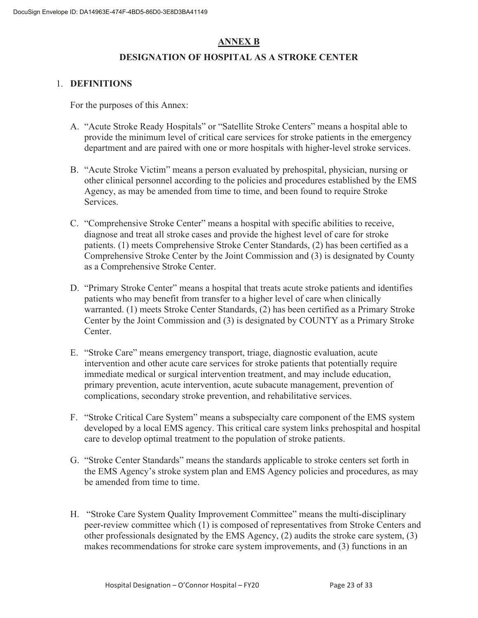### **ANNEX B**

#### **DESIGNATION OF HOSPITAL AS A STROKE CENTER**

#### 1. **DEFINITIONS**

For the purposes of this Annex:

- A. "Acute Stroke Ready Hospitals" or "Satellite Stroke Centers" means a hospital able to provide the minimum level of critical care services for stroke patients in the emergency department and are paired with one or more hospitals with higher-level stroke services.
- B. "Acute Stroke Victim" means a person evaluated by prehospital, physician, nursing or other clinical personnel according to the policies and procedures established by the EMS Agency, as may be amended from time to time, and been found to require Stroke Services.
- C. "Comprehensive Stroke Center" means a hospital with specific abilities to receive, diagnose and treat all stroke cases and provide the highest level of care for stroke patients. (1) meets Comprehensive Stroke Center Standards, (2) has been certified as a Comprehensive Stroke Center by the Joint Commission and (3) is designated by County as a Comprehensive Stroke Center.
- D. "Primary Stroke Center" means a hospital that treats acute stroke patients and identifies patients who may benefit from transfer to a higher level of care when clinically warranted. (1) meets Stroke Center Standards, (2) has been certified as a Primary Stroke Center by the Joint Commission and (3) is designated by COUNTY as a Primary Stroke Center.
- E. "Stroke Care" means emergency transport, triage, diagnostic evaluation, acute intervention and other acute care services for stroke patients that potentially require immediate medical or surgical intervention treatment, and may include education, primary prevention, acute intervention, acute subacute management, prevention of complications, secondary stroke prevention, and rehabilitative services.
- F. "Stroke Critical Care System" means a subspecialty care component of the EMS system developed by a local EMS agency. This critical care system links prehospital and hospital care to develop optimal treatment to the population of stroke patients.
- G. "Stroke Center Standards" means the standards applicable to stroke centers set forth in the EMS Agency's stroke system plan and EMS Agency policies and procedures, as may be amended from time to time.
- H. "Stroke Care System Quality Improvement Committee" means the multi-disciplinary peer-review committee which (1) is composed of representatives from Stroke Centers and other professionals designated by the EMS Agency, (2) audits the stroke care system, (3) makes recommendations for stroke care system improvements, and (3) functions in an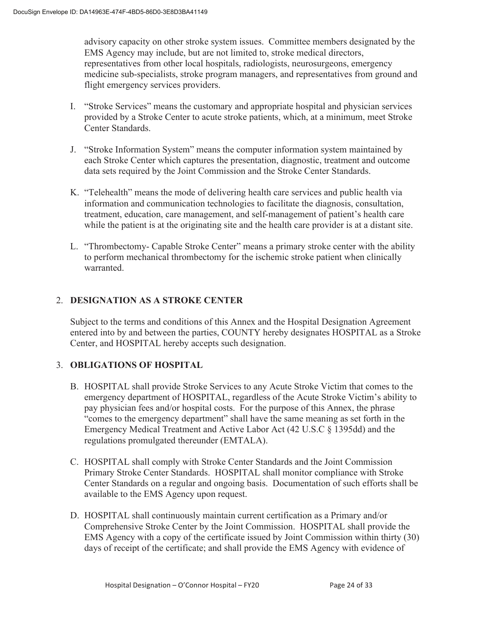advisory capacity on other stroke system issues. Committee members designated by the EMS Agency may include, but are not limited to, stroke medical directors, representatives from other local hospitals, radiologists, neurosurgeons, emergency medicine sub-specialists, stroke program managers, and representatives from ground and flight emergency services providers.

- I. "Stroke Services" means the customary and appropriate hospital and physician services provided by a Stroke Center to acute stroke patients, which, at a minimum, meet Stroke Center Standards.
- J. "Stroke Information System" means the computer information system maintained by each Stroke Center which captures the presentation, diagnostic, treatment and outcome data sets required by the Joint Commission and the Stroke Center Standards.
- K. "Telehealth" means the mode of delivering health care services and public health via information and communication technologies to facilitate the diagnosis, consultation, treatment, education, care management, and self-management of patient's health care while the patient is at the originating site and the health care provider is at a distant site.
- L. "Thrombectomy- Capable Stroke Center" means a primary stroke center with the ability to perform mechanical thrombectomy for the ischemic stroke patient when clinically warranted.

### 2. **DESIGNATION AS A STROKE CENTER**

Subject to the terms and conditions of this Annex and the Hospital Designation Agreement entered into by and between the parties, COUNTY hereby designates HOSPITAL as a Stroke Center, and HOSPITAL hereby accepts such designation.

#### 3. **OBLIGATIONS OF HOSPITAL**

- B. HOSPITAL shall provide Stroke Services to any Acute Stroke Victim that comes to the emergency department of HOSPITAL, regardless of the Acute Stroke Victim's ability to pay physician fees and/or hospital costs. For the purpose of this Annex, the phrase "comes to the emergency department" shall have the same meaning as set forth in the Emergency Medical Treatment and Active Labor Act (42 U.S.C § 1395dd) and the regulations promulgated thereunder (EMTALA).
- C. HOSPITAL shall comply with Stroke Center Standards and the Joint Commission Primary Stroke Center Standards. HOSPITAL shall monitor compliance with Stroke Center Standards on a regular and ongoing basis. Documentation of such efforts shall be available to the EMS Agency upon request.
- D. HOSPITAL shall continuously maintain current certification as a Primary and/or Comprehensive Stroke Center by the Joint Commission. HOSPITAL shall provide the EMS Agency with a copy of the certificate issued by Joint Commission within thirty (30) days of receipt of the certificate; and shall provide the EMS Agency with evidence of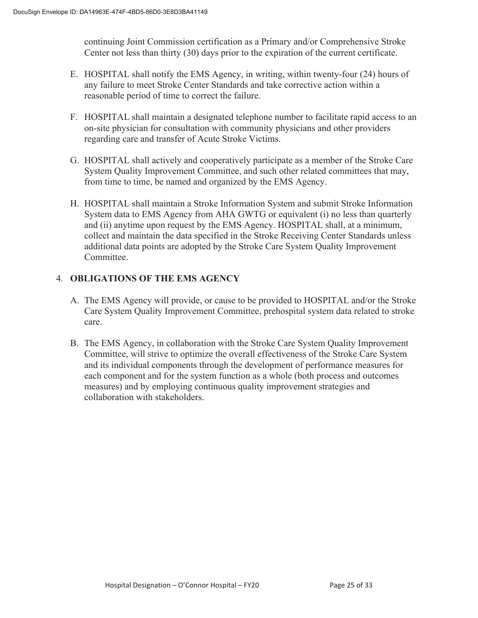continuing Joint Commission certification as a Primary and/or Comprehensive Stroke Center not less than thirty (30) days prior to the expiration of the current certificate.

- E. HOSPITAL shall notify the EMS Agency, in writing, within twenty-four (24) hours of any failure to meet Stroke Center Standards and take corrective action within a reasonable period of time to correct the failure.
- F. HOSPITAL shall maintain a designated telephone number to facilitate rapid access to an on-site physician for consultation with community physicians and other providers regarding care and transfer of Acute Stroke Victims.
- G. HOSPITAL shall actively and cooperatively participate as a member of the Stroke Care System Quality Improvement Committee, and such other related committees that may, from time to time, be named and organized by the EMS Agency.
- H. HOSPITAL shall maintain a Stroke Information System and submit Stroke Information System data to EMS Agency from AHA GWTG or equivalent (i) no less than quarterly and (ii) anytime upon request by the EMS Agency. HOSPITAL shall, at a minimum, collect and maintain the data specified in the Stroke Receiving Center Standards unless additional data points are adopted by the Stroke Care System Quality Improvement Committee.

### 4. **OBLIGATIONS OF THE EMS AGENCY**

- A. The EMS Agency will provide, or cause to be provided to HOSPITAL and/or the Stroke Care System Quality Improvement Committee, prehospital system data related to stroke care.
- B. The EMS Agency, in collaboration with the Stroke Care System Quality Improvement Committee, will strive to optimize the overall effectiveness of the Stroke Care System and its individual components through the development of performance measures for each component and for the system function as a whole (both process and outcomes measures) and by employing continuous quality improvement strategies and collaboration with stakeholders.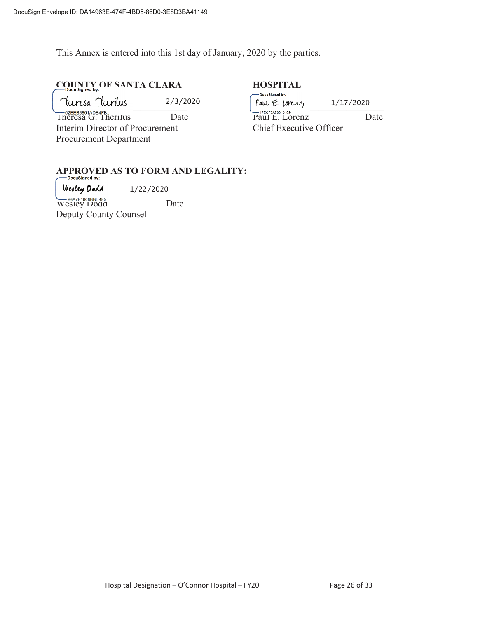This Annex is entered into this 1st day of January, 2020 by the parties.

# **COUNTY OF SANTA CLARA HOSPITAL**

| Theresa Theorius                           | 2/3/2020 | -DocuSigned by:<br>Paul E. Lorenz  | 1/17/2020               |  |  |
|--------------------------------------------|----------|------------------------------------|-------------------------|--|--|
| $-62$ EEB3861ADB4FB<br>Theresa G. Theritus | Date     | -47ECF3A78343489<br>Paul E. Lorenz | Date                    |  |  |
| Interim Director of Procurement            |          |                                    | Chief Executive Officer |  |  |
| <b>Procurement Department</b>              |          |                                    |                         |  |  |

# **APPROVED AS TO FORM AND LEGALITY:**

 $\mu$  westley is back to  $1/22/2020$ 1/22/2020

Wesley Dodd Date Deputy County Counsel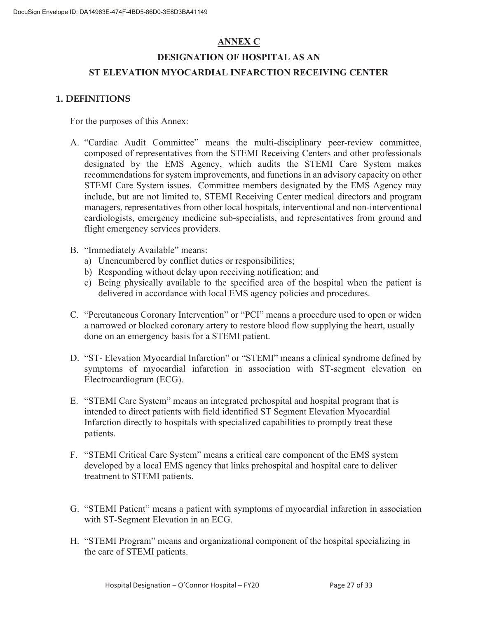### **ANNEX C**

# **DESIGNATION OF HOSPITAL AS AN ST ELEVATION MYOCARDIAL INFARCTION RECEIVING CENTER**

#### **1. DEFINITIONS**

For the purposes of this Annex:

- A. "Cardiac Audit Committee" means the multi-disciplinary peer-review committee, composed of representatives from the STEMI Receiving Centers and other professionals designated by the EMS Agency, which audits the STEMI Care System makes recommendations for system improvements, and functions in an advisory capacity on other STEMI Care System issues. Committee members designated by the EMS Agency may include, but are not limited to, STEMI Receiving Center medical directors and program managers, representatives from other local hospitals, interventional and non-interventional cardiologists, emergency medicine sub-specialists, and representatives from ground and flight emergency services providers.
- B. "Immediately Available" means:
	- a) Unencumbered by conflict duties or responsibilities;
	- b) Responding without delay upon receiving notification; and
	- c) Being physically available to the specified area of the hospital when the patient is delivered in accordance with local EMS agency policies and procedures.
- C. "Percutaneous Coronary Intervention" or "PCI" means a procedure used to open or widen a narrowed or blocked coronary artery to restore blood flow supplying the heart, usually done on an emergency basis for a STEMI patient.
- D. "ST- Elevation Myocardial Infarction" or "STEMI" means a clinical syndrome defined by symptoms of myocardial infarction in association with ST-segment elevation on Electrocardiogram (ECG).
- E. "STEMI Care System" means an integrated prehospital and hospital program that is intended to direct patients with field identified ST Segment Elevation Myocardial Infarction directly to hospitals with specialized capabilities to promptly treat these patients.
- F. "STEMI Critical Care System" means a critical care component of the EMS system developed by a local EMS agency that links prehospital and hospital care to deliver treatment to STEMI patients.
- G. "STEMI Patient" means a patient with symptoms of myocardial infarction in association with ST-Segment Elevation in an ECG.
- H. "STEMI Program" means and organizational component of the hospital specializing in the care of STEMI patients.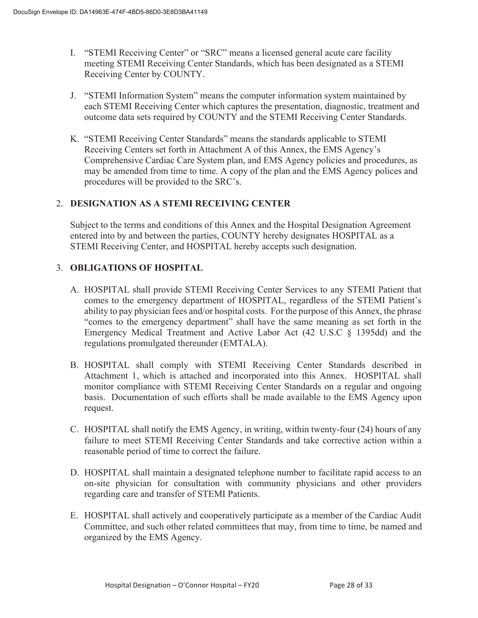- I. "STEMI Receiving Center" or "SRC" means a licensed general acute care facility meeting STEMI Receiving Center Standards, which has been designated as a STEMI Receiving Center by COUNTY.
- J. "STEMI Information System" means the computer information system maintained by each STEMI Receiving Center which captures the presentation, diagnostic, treatment and outcome data sets required by COUNTY and the STEMI Receiving Center Standards.
- K. "STEMI Receiving Center Standards" means the standards applicable to STEMI Receiving Centers set forth in Attachment A of this Annex, the EMS Agency's Comprehensive Cardiac Care System plan, and EMS Agency policies and procedures, as may be amended from time to time. A copy of the plan and the EMS Agency polices and procedures will be provided to the SRC's.

#### 2. **DESIGNATION AS A STEMI RECEIVING CENTER**

Subject to the terms and conditions of this Annex and the Hospital Designation Agreement entered into by and between the parties, COUNTY hereby designates HOSPITAL as a STEMI Receiving Center, and HOSPITAL hereby accepts such designation.

#### 3. **OBLIGATIONS OF HOSPITAL**

- A. HOSPITAL shall provide STEMI Receiving Center Services to any STEMI Patient that comes to the emergency department of HOSPITAL, regardless of the STEMI Patient's ability to pay physician fees and/or hospital costs. For the purpose of this Annex, the phrase "comes to the emergency department" shall have the same meaning as set forth in the Emergency Medical Treatment and Active Labor Act (42 U.S.C § 1395dd) and the regulations promulgated thereunder (EMTALA).
- B. HOSPITAL shall comply with STEMI Receiving Center Standards described in Attachment 1, which is attached and incorporated into this Annex. HOSPITAL shall monitor compliance with STEMI Receiving Center Standards on a regular and ongoing basis. Documentation of such efforts shall be made available to the EMS Agency upon request.
- C. HOSPITAL shall notify the EMS Agency, in writing, within twenty-four (24) hours of any failure to meet STEMI Receiving Center Standards and take corrective action within a reasonable period of time to correct the failure.
- D. HOSPITAL shall maintain a designated telephone number to facilitate rapid access to an on-site physician for consultation with community physicians and other providers regarding care and transfer of STEMI Patients.
- E. HOSPITAL shall actively and cooperatively participate as a member of the Cardiac Audit Committee, and such other related committees that may, from time to time, be named and organized by the EMS Agency.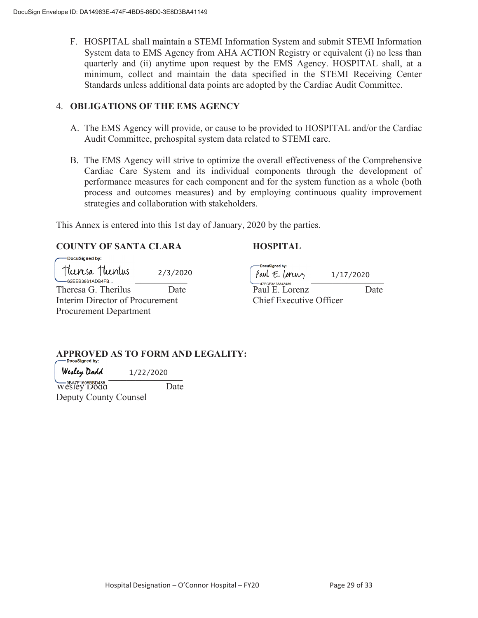F. HOSPITAL shall maintain a STEMI Information System and submit STEMI Information System data to EMS Agency from AHA ACTION Registry or equivalent (i) no less than quarterly and (ii) anytime upon request by the EMS Agency. HOSPITAL shall, at a minimum, collect and maintain the data specified in the STEMI Receiving Center Standards unless additional data points are adopted by the Cardiac Audit Committee.

#### 4. **OBLIGATIONS OF THE EMS AGENCY**

- A. The EMS Agency will provide, or cause to be provided to HOSPITAL and/or the Cardiac Audit Committee, prehospital system data related to STEMI care.
- B. The EMS Agency will strive to optimize the overall effectiveness of the Comprehensive Cardiac Care System and its individual components through the development of performance measures for each component and for the system function as a whole (both process and outcomes measures) and by employing continuous quality improvement strategies and collaboration with stakeholders.

This Annex is entered into this 1st day of January, 2020 by the parties.

#### **COUNTY OF SANTA CLARA HOSPITAL**

DocuSianed by:  $\begin{array}{l} \text{turns}_a \text{turnus}_b \text{turnus}_b \text{turnus}_b \text{turnus}_b \text{turnus}_b \text{turnus}_b \text{turnus}_b \text{turnus}_b \text{turnus}_b \text{turnus}_b \text{turnus}_b \text{turnus}_b \text{turnus}_b \text{turnus}_b \text{turnus}_b \text{turnus}_b \text{turnus}_b \text{turnus}_b \text{turnus}_b \text{turnus}_b \text{turnus}_b \text{turnus}_b \text{turnus}_b \text{turnus}_b \text{turnus}_b \text{turnus}_b \text{turnus}_b \text{turnus}_b \text{turnus}_b \text{$ 2/3/2020 Theresa G. Therilus Date Paul E. Lorenz Date Interim Director of Procurement Chief Executive Officer Procurement Department

-DocuSianed by: 1/17/2020

# **APPROVED AS TO FORM AND LEGALITY:**

 $w$ esccy Dona  $1/22/2020$ 1/22/2020

Wesley Dodd Date Deputy County Counsel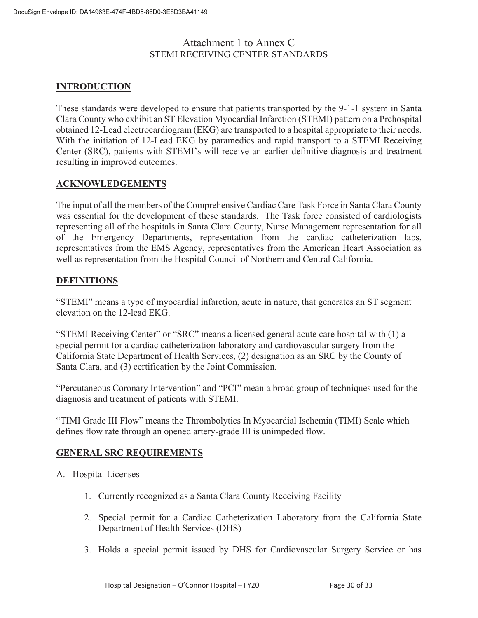### Attachment 1 to Annex C STEMI RECEIVING CENTER STANDARDS

#### **INTRODUCTION**

These standards were developed to ensure that patients transported by the 9-1-1 system in Santa Clara County who exhibit an ST Elevation Myocardial Infarction (STEMI) pattern on a Prehospital obtained 12-Lead electrocardiogram (EKG) are transported to a hospital appropriate to their needs. With the initiation of 12-Lead EKG by paramedics and rapid transport to a STEMI Receiving Center (SRC), patients with STEMI's will receive an earlier definitive diagnosis and treatment resulting in improved outcomes.

#### **ACKNOWLEDGEMENTS**

The input of all the members of the Comprehensive Cardiac Care Task Force in Santa Clara County was essential for the development of these standards. The Task force consisted of cardiologists representing all of the hospitals in Santa Clara County, Nurse Management representation for all of the Emergency Departments, representation from the cardiac catheterization labs, representatives from the EMS Agency, representatives from the American Heart Association as well as representation from the Hospital Council of Northern and Central California.

#### **DEFINITIONS**

"STEMI" means a type of myocardial infarction, acute in nature, that generates an ST segment elevation on the 12-lead EKG.

"STEMI Receiving Center" or "SRC" means a licensed general acute care hospital with (1) a special permit for a cardiac catheterization laboratory and cardiovascular surgery from the California State Department of Health Services, (2) designation as an SRC by the County of Santa Clara, and (3) certification by the Joint Commission.

"Percutaneous Coronary Intervention" and "PCI" mean a broad group of techniques used for the diagnosis and treatment of patients with STEMI.

"TIMI Grade III Flow" means the Thrombolytics In Myocardial Ischemia (TIMI) Scale which defines flow rate through an opened artery-grade III is unimpeded flow.

#### **GENERAL SRC REQUIREMENTS**

- A. Hospital Licenses
	- 1. Currently recognized as a Santa Clara County Receiving Facility
	- 2. Special permit for a Cardiac Catheterization Laboratory from the California State Department of Health Services (DHS)
	- 3. Holds a special permit issued by DHS for Cardiovascular Surgery Service or has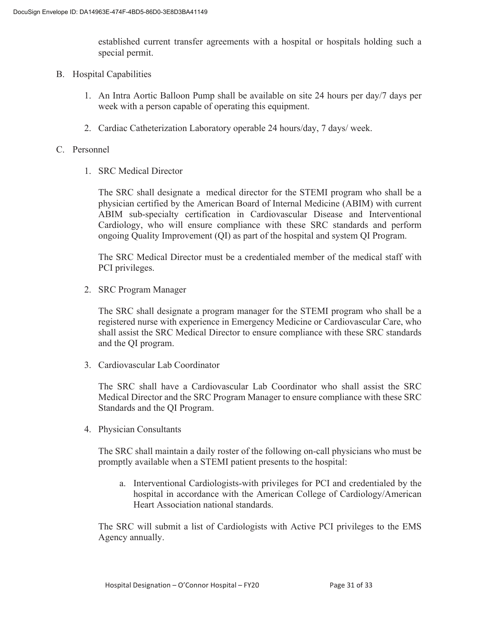established current transfer agreements with a hospital or hospitals holding such a special permit.

- B. Hospital Capabilities
	- 1. An Intra Aortic Balloon Pump shall be available on site 24 hours per day/7 days per week with a person capable of operating this equipment.
	- 2. Cardiac Catheterization Laboratory operable 24 hours/day, 7 days/ week.

#### C. Personnel

1. SRC Medical Director

The SRC shall designate a medical director for the STEMI program who shall be a physician certified by the American Board of Internal Medicine (ABIM) with current ABIM sub-specialty certification in Cardiovascular Disease and Interventional Cardiology, who will ensure compliance with these SRC standards and perform ongoing Quality Improvement (QI) as part of the hospital and system QI Program.

The SRC Medical Director must be a credentialed member of the medical staff with PCI privileges.

2. SRC Program Manager

The SRC shall designate a program manager for the STEMI program who shall be a registered nurse with experience in Emergency Medicine or Cardiovascular Care, who shall assist the SRC Medical Director to ensure compliance with these SRC standards and the QI program.

3. Cardiovascular Lab Coordinator

The SRC shall have a Cardiovascular Lab Coordinator who shall assist the SRC Medical Director and the SRC Program Manager to ensure compliance with these SRC Standards and the QI Program.

4. Physician Consultants

The SRC shall maintain a daily roster of the following on-call physicians who must be promptly available when a STEMI patient presents to the hospital:

a. Interventional Cardiologists-with privileges for PCI and credentialed by the hospital in accordance with the American College of Cardiology/American Heart Association national standards.

The SRC will submit a list of Cardiologists with Active PCI privileges to the EMS Agency annually.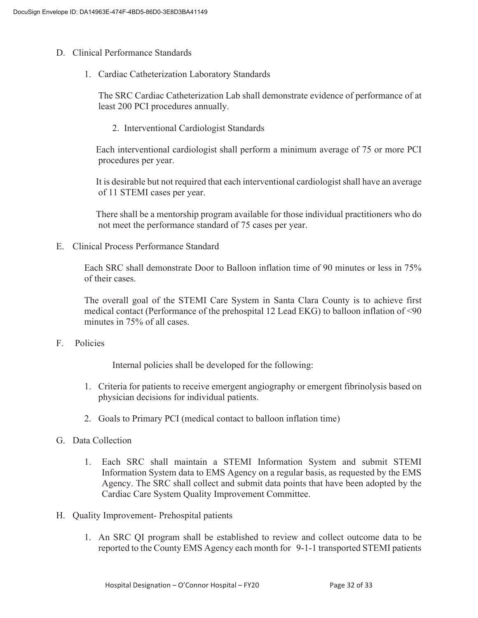- D. Clinical Performance Standards
	- 1. Cardiac Catheterization Laboratory Standards

The SRC Cardiac Catheterization Lab shall demonstrate evidence of performance of at least 200 PCI procedures annually.

2. Interventional Cardiologist Standards

 Each interventional cardiologist shall perform a minimum average of 75 or more PCI procedures per year.

 It is desirable but not required that each interventional cardiologist shall have an average of 11 STEMI cases per year.

 There shall be a mentorship program available for those individual practitioners who do not meet the performance standard of 75 cases per year.

E. Clinical Process Performance Standard

Each SRC shall demonstrate Door to Balloon inflation time of 90 minutes or less in 75% of their cases.

The overall goal of the STEMI Care System in Santa Clara County is to achieve first medical contact (Performance of the prehospital 12 Lead EKG) to balloon inflation of <90 minutes in 75% of all cases.

F. Policies

Internal policies shall be developed for the following:

- 1. Criteria for patients to receive emergent angiography or emergent fibrinolysis based on physician decisions for individual patients.
- 2. Goals to Primary PCI (medical contact to balloon inflation time)
- G. Data Collection
	- 1. Each SRC shall maintain a STEMI Information System and submit STEMI Information System data to EMS Agency on a regular basis, as requested by the EMS Agency. The SRC shall collect and submit data points that have been adopted by the Cardiac Care System Quality Improvement Committee.
- H. Quality Improvement- Prehospital patients
	- 1. An SRC QI program shall be established to review and collect outcome data to be reported to the County EMS Agency each month for 9-1-1 transported STEMI patients